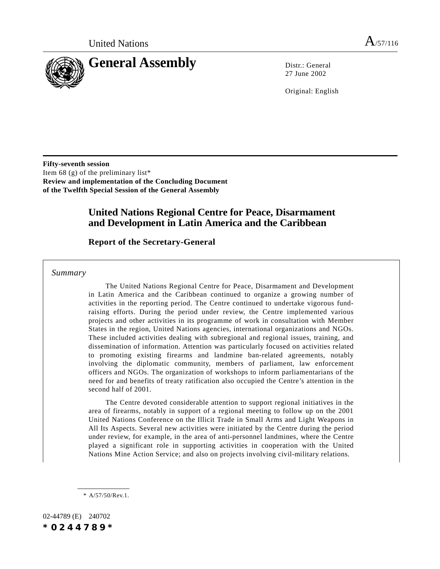

27 June 2002

Original: English

**Fifty-seventh session** Item 68 (g) of the preliminary list\* **Review and implementation of the Concluding Document of the Twelfth Special Session of the General Assembly**

# **United Nations Regional Centre for Peace, Disarmament and Development in Latin America and the Caribbean**

## **Report of the Secretary-General**

*Summary*

The United Nations Regional Centre for Peace, Disarmament and Development in Latin America and the Caribbean continued to organize a growing number of activities in the reporting period. The Centre continued to undertake vigorous fundraising efforts. During the period under review, the Centre implemented various projects and other activities in its programme of work in consultation with Member States in the region, United Nations agencies, international organizations and NGOs. These included activities dealing with subregional and regional issues, training, and dissemination of information. Attention was particularly focused on activities related to promoting existing firearms and landmine ban-related agreements, notably involving the diplomatic community, members of parliament, law enforcement officers and NGOs. The organization of workshops to inform parliamentarians of the need for and benefits of treaty ratification also occupied the Centre's attention in the second half of 2001.

The Centre devoted considerable attention to support regional initiatives in the area of firearms, notably in support of a regional meeting to follow up on the 2001 United Nations Conference on the Illicit Trade in Small Arms and Light Weapons in All Its Aspects. Several new activities were initiated by the Centre during the period under review, for example, in the area of anti-personnel landmines, where the Centre played a significant role in supporting activities in cooperation with the United Nations Mine Action Service; and also on projects involving civil-military relations.

\* A/57/50/Rev.1.

02-44789 (E) 240702 *\*0244789\**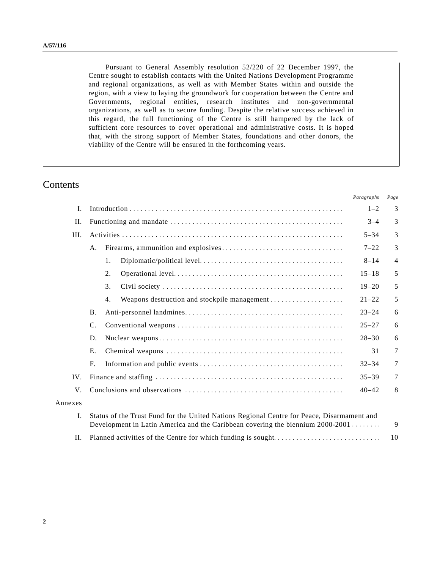Pursuant to General Assembly resolution 52/220 of 22 December 1997, the Centre sought to establish contacts with the United Nations Development Programme and regional organizations, as well as with Member States within and outside the region, with a view to laying the groundwork for cooperation between the Centre and Governments, regional entities, research institutes and non-governmental organizations, as well as to secure funding. Despite the relative success achieved in this regard, the full functioning of the Centre is still hampered by the lack of sufficient core resources to cover operational and administrative costs. It is hoped that, with the strong support of Member States, foundations and other donors, the viability of the Centre will be ensured in the forthcoming years.

# **Contents**

|                |                                                                                                                                                                                          |    | <i>i urugrupns</i> | 1 и хе |  |
|----------------|------------------------------------------------------------------------------------------------------------------------------------------------------------------------------------------|----|--------------------|--------|--|
| I.             |                                                                                                                                                                                          |    | $1 - 2$            | 3      |  |
| H.             |                                                                                                                                                                                          |    | $3 - 4$            | 3      |  |
| III.           |                                                                                                                                                                                          |    |                    | 3      |  |
|                | А.                                                                                                                                                                                       |    | $7 - 22$           | 3      |  |
|                |                                                                                                                                                                                          | 1. | $8 - 14$           | 4      |  |
|                |                                                                                                                                                                                          | 2. | $15 - 18$          | 5      |  |
|                |                                                                                                                                                                                          | 3. | $19 - 20$          | 5      |  |
|                |                                                                                                                                                                                          | 4. | $21 - 22$          | 5      |  |
|                | <b>B.</b>                                                                                                                                                                                |    | $23 - 24$          | 6      |  |
|                | $\mathbf{C}$ .                                                                                                                                                                           |    | $25 - 27$          | 6      |  |
|                | D.                                                                                                                                                                                       |    | $28 - 30$          | 6      |  |
|                | Ε.                                                                                                                                                                                       |    | 31                 | 7      |  |
|                | F.                                                                                                                                                                                       |    | $32 - 34$          | 7      |  |
| IV.            |                                                                                                                                                                                          |    |                    | 7      |  |
| V.             |                                                                                                                                                                                          |    | $40 - 42$          | 8      |  |
| Annexes        |                                                                                                                                                                                          |    |                    |        |  |
| $\mathbf{I}$ . | Status of the Trust Fund for the United Nations Regional Centre for Peace, Disarmament and<br>Development in Latin America and the Caribbean covering the biennium 2000-2001<br>10<br>Н. |    |                    |        |  |
|                |                                                                                                                                                                                          |    |                    |        |  |

*Paragraphs Page*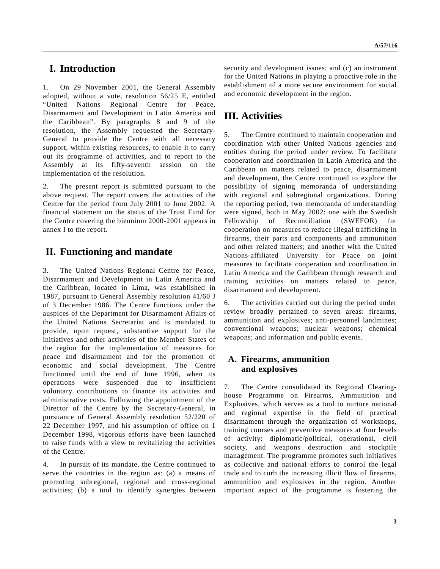# **I. Introduction**

1. On 29 November 2001, the General Assembly adopted, without a vote, resolution 56/25 E, entitled "United Nations Regional Centre for Peace, Disarmament and Development in Latin America and the Caribbean". By paragraphs 8 and 9 of the resolution, the Assembly requested the Secretary-General to provide the Centre with all necessary support, within existing resources, to enable it to carry out its programme of activities, and to report to the Assembly at its fifty-seventh session on the implementation of the resolution.

2. The present report is submitted pursuant to the above request. The report covers the activities of the Centre for the period from July 2001 to June 2002. A financial statement on the status of the Trust Fund for the Centre covering the biennium 2000-2001 appears in annex I to the report.

# **II. Functioning and mandate**

3. The United Nations Regional Centre for Peace, Disarmament and Development in Latin America and the Caribbean, located in Lima, was established in 1987, pursuant to General Assembly resolution 41/60 J of 3 December 1986. The Centre functions under the auspices of the Department for Disarmament Affairs of the United Nations Secretariat and is mandated to provide, upon request, substantive support for the initiatives and other activities of the Member States of the region for the implementation of measures for peace and disarmament and for the promotion of economic and social development. The Centre functioned until the end of June 1996, when its operations were suspended due to insufficient voluntary contributions to finance its activities and administrative costs. Following the appointment of the Director of the Centre by the Secretary-General, in pursuance of General Assembly resolution 52/220 of 22 December 1997, and his assumption of office on 1 December 1998, vigorous efforts have been launched to raise funds with a view to revitalizing the activities of the Centre.

4. In pursuit of its mandate, the Centre continued to serve the countries in the region as: (a) a means of promoting subregional, regional and cross-regional activities; (b) a tool to identify synergies between security and development issues; and (c) an instrument for the United Nations in playing a proactive role in the establishment of a more secure environment for social and economic development in the region.

# **III. Activities**

5. The Centre continued to maintain cooperation and coordination with other United Nations agencies and entities during the period under review. To facilitate cooperation and coordination in Latin America and the Caribbean on matters related to peace, disarmament and development, the Centre continued to explore the possibility of signing memoranda of understanding with regional and subregional organizations. During the reporting period, two memoranda of understanding were signed, both in May 2002: one with the Swedish Fellowship of Reconciliation (SWEFOR) for cooperation on measures to reduce illegal trafficking in firearms, their parts and components and ammunition and other related matters; and another with the United Nations-affiliated University for Peace on joint measures to facilitate cooperation and coordination in Latin America and the Caribbean through research and training activities on matters related to peace, disarmament and development.

6. The activities carried out during the period under review broadly pertained to seven areas: firearms, ammunition and explosives; anti-personnel landmines; conventional weapons; nuclear weapons; chemical weapons; and information and public events.

## **A. Firearms, ammunition and explosives**

7. The Centre consolidated its Regional Clearinghouse Programme on Firearms, Ammunition and Explosives, which serves as a tool to nurture national and regional expertise in the field of practical disarmament through the organization of workshops, training courses and preventive measures at four levels of activity: diplomatic/political, operational, civil society, and weapons destruction and stockpile management. The programme promotes such initiatives as collective and national efforts to control the legal trade and to curb the increasing illicit flow of firearms, ammunition and explosives in the region. Another important aspect of the programme is fostering the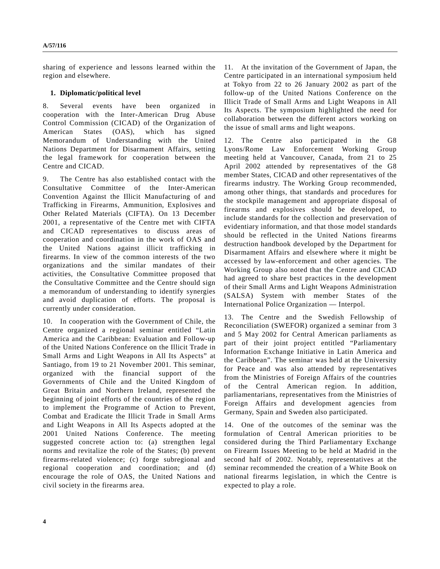sharing of experience and lessons learned within the region and elsewhere.

### **1. Diplomatic/political level**

8. Several events have been organized in cooperation with the Inter-American Drug Abuse Control Commission (CICAD) of the Organization of American States (OAS), which has signed Memorandum of Understanding with the United Nations Department for Disarmament Affairs, setting the legal framework for cooperation between the Centre and CICAD.

9. The Centre has also established contact with the Consultative Committee of the Inter-American Convention Against the Illicit Manufacturing of and Trafficking in Firearms, Ammunition, Explosives and Other Related Materials (CIFTA). On 13 December 2001, a representative of the Centre met with CIFTA and CICAD representatives to discuss areas of cooperation and coordination in the work of OAS and the United Nations against illicit trafficking in firearms. In view of the common interests of the two organizations and the similar mandates of their activities, the Consultative Committee proposed that the Consultative Committee and the Centre should sign a memorandum of understanding to identify synergies and avoid duplication of efforts. The proposal is currently under consideration.

10. In cooperation with the Government of Chile, the Centre organized a regional seminar entitled "Latin America and the Caribbean: Evaluation and Follow-up of the United Nations Conference on the Illicit Trade in Small Arms and Light Weapons in All Its Aspects" at Santiago, from 19 to 21 November 2001. This seminar, organized with the financial support of the Governments of Chile and the United Kingdom of Great Britain and Northern Ireland, represented the beginning of joint efforts of the countries of the region to implement the Programme of Action to Prevent, Combat and Eradicate the Illicit Trade in Small Arms and Light Weapons in All Its Aspects adopted at the 2001 United Nations Conference. The meeting suggested concrete action to: (a) strengthen legal norms and revitalize the role of the States; (b) prevent firearms-related violence; (c) forge subregional and regional cooperation and coordination; and (d) encourage the role of OAS, the United Nations and civil society in the firearms area.

11. At the invitation of the Government of Japan, the Centre participated in an international symposium held at Tokyo from 22 to 26 January 2002 as part of the follow-up of the United Nations Conference on the Illicit Trade of Small Arms and Light Weapons in All Its Aspects. The symposium highlighted the need for collaboration between the different actors working on the issue of small arms and light weapons.

12. The Centre also participated in the G8 Lyons/Rome Law Enforcement Working Group meeting held at Vancouver, Canada, from 21 to 25 April 2002 attended by representatives of the G8 member States, CICAD and other representatives of the firearms industry. The Working Group recommended, among other things, that standards and procedures for the stockpile management and appropriate disposal of firearms and explosives should be developed, to include standards for the collection and preservation of evidentiary information, and that those model standards should be reflected in the United Nations firearms destruction handbook developed by the Department for Disarmament Affairs and elsewhere where it might be accessed by law-enforcement and other agencies. The Working Group also noted that the Centre and CICAD had agreed to share best practices in the development of their Small Arms and Light Weapons Administration (SALSA) System with member States of the International Police Organization — Interpol.

13. The Centre and the Swedish Fellowship of Reconciliation (SWEFOR) organized a seminar from 3 and 5 May 2002 for Central American parliaments as part of their joint project entitled "Parliamentary Information Exchange Initiative in Latin America and the Caribbean". The seminar was held at the University for Peace and was also attended by representatives from the Ministries of Foreign Affairs of the countries of the Central American region. In addition, parliamentarians, representatives from the Ministries of Foreign Affairs and development agencies from Germany, Spain and Sweden also participated.

14. One of the outcomes of the seminar was the formulation of Central American priorities to be considered during the Third Parliamentary Exchange on Firearm Issues Meeting to be held at Madrid in the second half of 2002. Notably, representatives at the seminar recommended the creation of a White Book on national firearms legislation, in which the Centre is expected to play a role.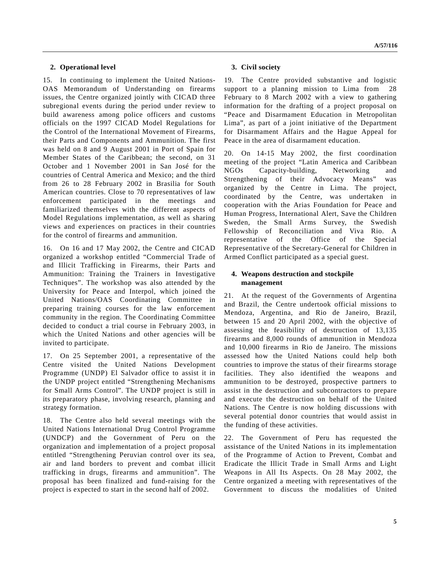### **2. Operational level**

15. In continuing to implement the United Nations-OAS Memorandum of Understanding on firearms issues, the Centre organized jointly with CICAD three subregional events during the period under review to build awareness among police officers and customs officials on the 1997 CICAD Model Regulations for the Control of the International Movement of Firearms, their Parts and Components and Ammunition. The first was held on 8 and 9 August 2001 in Port of Spain for Member States of the Caribbean; the second, on 31 October and 1 November 2001 in San José for the countries of Central America and Mexico; and the third from 26 to 28 February 2002 in Brasilia for South American countries. Close to 70 representatives of law enforcement participated in the meetings and familiarized themselves with the different aspects of Model Regulations implementation, as well as sharing views and experiences on practices in their countries for the control of firearms and ammunition.

16. On 16 and 17 May 2002, the Centre and CICAD organized a workshop entitled "Commercial Trade of and Illicit Trafficking in Firearms, their Parts and Ammunition: Training the Trainers in Investigative Techniques". The workshop was also attended by the University for Peace and Interpol, which joined the United Nations/OAS Coordinating Committee in preparing training courses for the law enforcement community in the region. The Coordinating Committee decided to conduct a trial course in February 2003, in which the United Nations and other agencies will be invited to participate.

17. On 25 September 2001, a representative of the Centre visited the United Nations Development Programme (UNDP) El Salvador office to assist it in the UNDP project entitled "Strengthening Mechanisms for Small Arms Control". The UNDP project is still in its preparatory phase, involving research, planning and strategy formation.

18. The Centre also held several meetings with the United Nations International Drug Control Programme (UNDCP) and the Government of Peru on the organization and implementation of a project proposal entitled "Strengthening Peruvian control over its sea, air and land borders to prevent and combat illicit trafficking in drugs, firearms and ammunition". The proposal has been finalized and fund-raising for the project is expected to start in the second half of 2002.

### **3. Civil society**

19. The Centre provided substantive and logistic support to a planning mission to Lima from 28 February to 8 March 2002 with a view to gathering information for the drafting of a project proposal on "Peace and Disarmament Education in Metropolitan Lima", as part of a joint initiative of the Department for Disarmament Affairs and the Hague Appeal for Peace in the area of disarmament education.

20. On 14-15 May 2002, the first coordination meeting of the project "Latin America and Caribbean NGOs Capacity-building, Networking and Strengthening of their Advocacy Means" was organized by the Centre in Lima. The project, coordinated by the Centre, was undertaken in cooperation with the Arias Foundation for Peace and Human Progress, International Alert, Save the Children Sweden, the Small Arms Survey, the Swedish Fellowship of Reconciliation and Viva Rio. A representative of the Office of the Special Representative of the Secretary-General for Children in Armed Conflict participated as a special guest.

### **4. Weapons destruction and stockpile management**

21. At the request of the Governments of Argentina and Brazil, the Centre undertook official missions to Mendoza, Argentina, and Rio de Janeiro, Brazil, between 15 and 20 April 2002, with the objective of assessing the feasibility of destruction of 13,135 firearms and 8,000 rounds of ammunition in Mendoza and 10,000 firearms in Rio de Janeiro. The missions assessed how the United Nations could help both countries to improve the status of their firearms storage facilities. They also identified the weapons and ammunition to be destroyed, prospective partners to assist in the destruction and subcontractors to prepare and execute the destruction on behalf of the United Nations. The Centre is now holding discussions with several potential donor countries that would assist in the funding of these activities.

22. The Government of Peru has requested the assistance of the United Nations in its implementation of the Programme of Action to Prevent, Combat and Eradicate the Illicit Trade in Small Arms and Light Weapons in All Its Aspects. On 28 May 2002, the Centre organized a meeting with representatives of the Government to discuss the modalities of United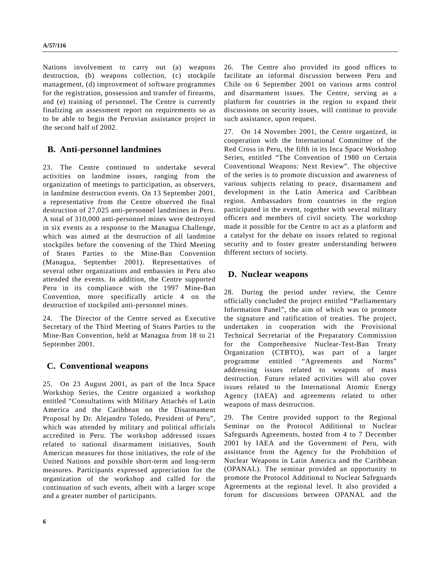Nations involvement to carry out (a) weapons destruction, (b) weapons collection, (c) stockpile management, (d) improvement of software programmes for the registration, possession and transfer of firearms, and (e) training of personnel. The Centre is currently finalizing an assessment report on requirements so as to be able to begin the Peruvian assistance project in the second half of 2002.

## **B. Anti-personnel landmines**

23. The Centre continued to undertake several activities on landmine issues, ranging from the organization of meetings to participation, as observers, in landmine destruction events. On 13 September 2001, a representative from the Centre observed the final destruction of 27,025 anti-personnel landmines in Peru. A total of 310,000 anti-personnel mines were destroyed in six events as a response to the Managua Challenge, which was aimed at the destruction of all landmine stockpiles before the convening of the Third Meeting of States Parties to the Mine-Ban Convention (Managua, September 2001). Representatives of several other organizations and embassies in Peru also attended the events. In addition, the Centre supported Peru in its compliance with the 1997 Mine-Ban Convention, more specifically article 4 on the destruction of stockpiled anti-personnel mines.

24. The Director of the Centre served as Executive Secretary of the Third Meeting of States Parties to the Mine-Ban Convention, held at Managua from 18 to 21 September 2001.

## **C. Conventional weapons**

25. On 23 August 2001, as part of the Inca Space Workshop Series, the Centre organized a workshop entitled "Consultations with Military Attachés of Latin America and the Caribbean on the Disarmament Proposal by Dr. Alejandro Toledo, President of Peru", which was attended by military and political officials accredited in Peru. The workshop addressed issues related to national disarmament initiatives, South American measures for those initiatives, the role of the United Nations and possible short-term and long-term measures. Participants expressed appreciation for the organization of the workshop and called for the continuation of such events, albeit with a larger scope and a greater number of participants.

26. The Centre also provided its good offices to facilitate an informal discussion between Peru and Chile on 6 September 2001 on various arms control and disarmament issues. The Centre, serving as a platform for countries in the region to expand their discussions on security issues, will continue to provide such assistance, upon request.

27. On 14 November 2001, the Centre organized, in cooperation with the International Committee of the Red Cross in Peru, the fifth in its Inca Space Workshop Series, entitled "The Convention of 1980 on Certain Conventional Weapons: Next Review". The objective of the series is to promote discussion and awareness of various subjects relating to peace, disarmament and development in the Latin America and Caribbean region. Ambassadors from countries in the region participated in the event, together with several military officers and members of civil society. The workshop made it possible for the Centre to act as a platform and a catalyst for the debate on issues related to regional security and to foster greater understanding between different sectors of society.

## **D. Nuclear weapons**

28. During the period under review, the Centre officially concluded the project entitled "Parliamentary Information Panel", the aim of which was to promote the signature and ratification of treaties. The project, undertaken in cooperation with the Provisional Technical Secretariat of the Preparatory Commission for the Comprehensive Nuclear-Test-Ban Treaty Organization (CTBTO), was part of a larger programme entitled "Agreements and Norms" addressing issues related to weapons of mass destruction. Future related activities will also cover issues related to the International Atomic Energy Agency (IAEA) and agreements related to other weapons of mass destruction.

29. The Centre provided support to the Regional Seminar on the Protocol Additional to Nuclear Safeguards Agreements, hosted from 4 to 7 December 2001 by IAEA and the Government of Peru, with assistance from the Agency for the Prohibition of Nuclear Weapons in Latin America and the Caribbean (OPANAL). The seminar provided an opportunity to promote the Protocol Additional to Nuclear Safeguards Agreements at the regional level. It also provided a forum for discussions between OPANAL and the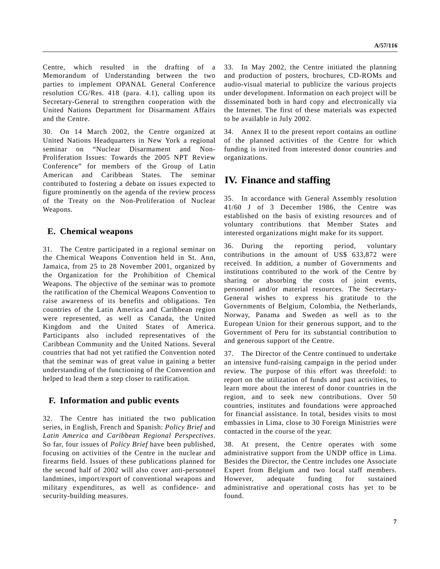Centre, which resulted in the drafting of a Memorandum of Understanding between the two parties to implement OPANAL General Conference resolution CG/Res. 418 (para. 4.1), calling upon its Secretary-General to strengthen cooperation with the United Nations Department for Disarmament Affairs and the Centre.

30. On 14 March 2002, the Centre organized at United Nations Headquarters in New York a regional seminar on "Nuclear Disarmament and Non-Proliferation Issues: Towards the 2005 NPT Review Conference" for members of the Group of Latin American and Caribbean States. The seminar contributed to fostering a debate on issues expected to figure prominently on the agenda of the review process of the Treaty on the Non-Proliferation of Nuclear Weapons.

## **E. Chemical weapons**

31. The Centre participated in a regional seminar on the Chemical Weapons Convention held in St. Ann, Jamaica, from 25 to 28 November 2001, organized by the Organization for the Prohibition of Chemical Weapons. The objective of the seminar was to promote the ratification of the Chemical Weapons Convention to raise awareness of its benefits and obligations. Ten countries of the Latin America and Caribbean region were represented, as well as Canada, the United Kingdom and the United States of America. Participants also included representatives of the Caribbean Community and the United Nations. Several countries that had not yet ratified the Convention noted that the seminar was of great value in gaining a better understanding of the functioning of the Convention and helped to lead them a step closer to ratification.

## **F. Information and public events**

32. The Centre has initiated the two publication series, in English, French and Spanish: *Policy Brief* and *Latin America and Caribbean Regional Perspectives*. So far, four issues of *Policy Brief* have been published, focusing on activities of the Centre in the nuclear and firearms field. Issues of these publications planned for the second half of 2002 will also cover anti-personnel landmines, import/export of conventional weapons and military expenditures, as well as confidence- and security-building measures.

33. In May 2002, the Centre initiated the planning and production of posters, brochures, CD-ROMs and audio-visual material to publicize the various projects under development. Information on each project will be disseminated both in hard copy and electronically via the Internet. The first of these materials was expected to be available in July 2002.

34. Annex II to the present report contains an outline of the planned activities of the Centre for which funding is invited from interested donor countries and organizations.

# **IV. Finance and staffing**

35. In accordance with General Assembly resolution 41/60 J of 3 December 1986, the Centre was established on the basis of existing resources and of voluntary contributions that Member States and interested organizations might make for its support.

36. During the reporting period, voluntary contributions in the amount of US\$ 633,872 were received. In addition, a number of Governments and institutions contributed to the work of the Centre by sharing or absorbing the costs of joint events, personnel and/or material resources. The Secretary-General wishes to express his gratitude to the Governments of Belgium, Colombia, the Netherlands, Norway, Panama and Sweden as well as to the European Union for their generous support, and to the Government of Peru for its substantial contribution to and generous support of the Centre.

37. The Director of the Centre continued to undertake an intensive fund-raising campaign in the period under review. The purpose of this effort was threefold: to report on the utilization of funds and past activities, to learn more about the interest of donor countries in the region, and to seek new contributions. Over 50 countries, institutes and foundations were approached for financial assistance. In total, besides visits to most embassies in Lima, close to 30 Foreign Ministries were contacted in the course of the year.

38. At present, the Centre operates with some administrative support from the UNDP office in Lima. Besides the Director, the Centre includes one Associate Expert from Belgium and two local staff members. However, adequate funding for sustained administrative and operational costs has yet to be found.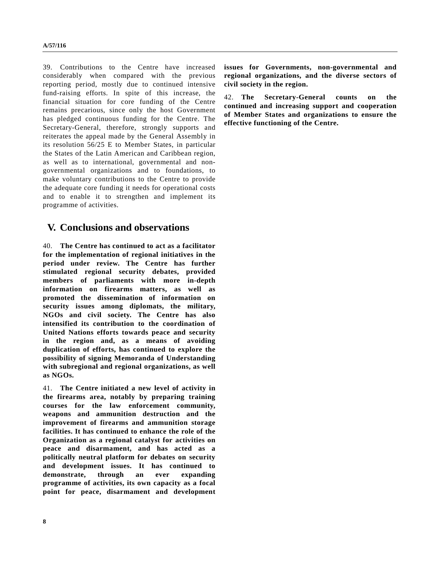39. Contributions to the Centre have increased considerably when compared with the previous reporting period, mostly due to continued intensive fund-raising efforts. In spite of this increase, the financial situation for core funding of the Centre remains precarious, since only the host Government has pledged continuous funding for the Centre. The Secretary-General, therefore, strongly supports and reiterates the appeal made by the General Assembly in its resolution 56/25 E to Member States, in particular the States of the Latin American and Caribbean region, as well as to international, governmental and nongovernmental organizations and to foundations, to make voluntary contributions to the Centre to provide the adequate core funding it needs for operational costs and to enable it to strengthen and implement its programme of activities.

# **V. Conclusions and observations**

40. **The Centre has continued to act as a facilitator for the implementation of regional initiatives in the period under review. The Centre has further stimulated regional security debates, provided members of parliaments with more in-depth information on firearms matters, as well as promoted the dissemination of information on security issues among diplomats, the military, NGOs and civil society. The Centre has also intensified its contribution to the coordination of United Nations efforts towards peace and security in the region and, as a means of avoiding duplication of efforts, has continued to explore the possibility of signing Memoranda of Understanding with subregional and regional organizations, as well as NGOs.**

41. **The Centre initiated a new level of activity in the firearms area, notably by preparing training courses for the law enforcement community, weapons and ammunition destruction and the improvement of firearms and ammunition storage facilities. It has continued to enhance the role of the Organization as a regional catalyst for activities on peace and disarmament, and has acted as a politically neutral platform for debates on security and development issues. It has continued to demonstrate, through an ever expanding programme of activities, its own capacity as a focal point for peace, disarmament and development** **issues for Governments, non-governmental and regional organizations, and the diverse sectors of civil society in the region.**

42. **The Secretary-General counts on the continued and increasing support and cooperation of Member States and organizations to ensure the effective functioning of the Centre.**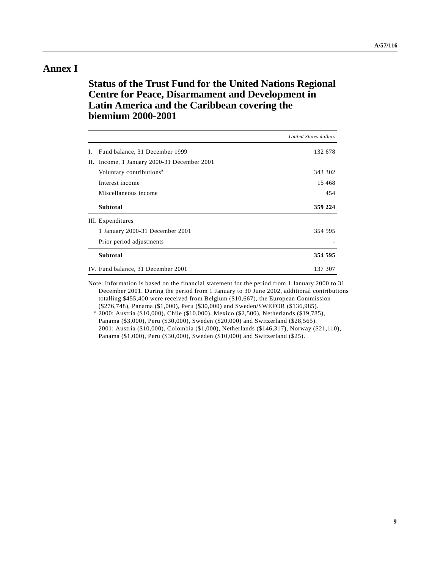# **Annex I**

# **Status of the Trust Fund for the United Nations Regional Centre for Peace, Disarmament and Development in Latin America and the Caribbean covering the biennium 2000-2001**

|    |                                             | United States dollars |
|----|---------------------------------------------|-----------------------|
| L. | Fund balance, 31 December 1999              | 132 678               |
|    | II. Income, 1 January 2000-31 December 2001 |                       |
|    | Voluntary contributions <sup>a</sup>        | 343 302               |
|    | Interest income                             | 15 4 68               |
|    | Miscellaneous income                        | 454                   |
|    | <b>Subtotal</b>                             | 359 224               |
|    | III. Expenditures                           |                       |
|    | 1 January 2000-31 December 2001             | 354 595               |
|    | Prior period adjustments                    |                       |
|    | <b>Subtotal</b>                             | 354 595               |
|    | IV. Fund balance, 31 December 2001          | 137 307               |

Note: Information is based on the financial statement for the period from 1 January 2000 to 31 December 2001. During the period from 1 January to 30 June 2002, additional contributions totalling \$455,400 were received from Belgium (\$10,667), the European Commission (\$276,748), Panama (\$1,000), Peru (\$30,000) and Sweden/SWEFOR (\$136,985).

<sup>a</sup> 2000: Austria (\$10,000), Chile (\$10,000), Mexico (\$2,500), Netherlands (\$19,785), Panama (\$3,000), Peru (\$30,000), Sweden (\$20,000) and Switzerland (\$28,565). 2001: Austria (\$10,000), Colombia (\$1,000), Netherlands (\$146,317), Norway (\$21,110), Panama (\$1,000), Peru (\$30,000), Sweden (\$10,000) and Switzerland (\$25).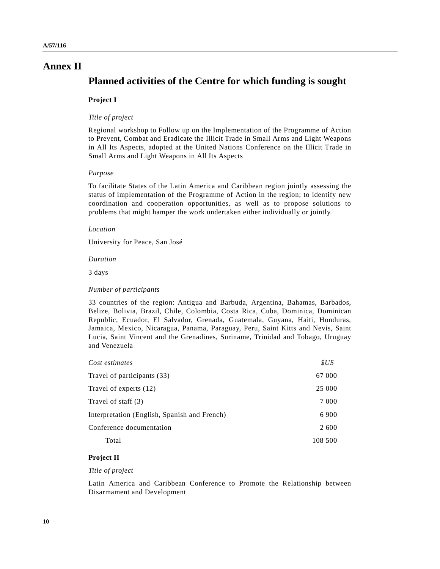# **Annex II**

# **Planned activities of the Centre for which funding is sought**

### **Project I**

#### *Title of project*

Regional workshop to Follow up on the Implementation of the Programme of Action to Prevent, Combat and Eradicate the Illicit Trade in Small Arms and Light Weapons in All Its Aspects, adopted at the United Nations Conference on the Illicit Trade in Small Arms and Light Weapons in All Its Aspects

#### *Purpose*

To facilitate States of the Latin America and Caribbean region jointly assessing the status of implementation of the Programme of Action in the region; to identify new coordination and cooperation opportunities, as well as to propose solutions to problems that might hamper the work undertaken either individually or jointly.

#### *Location*

University for Peace, San José

#### *Duration*

3 days

#### *Number of participants*

33 countries of the region: Antigua and Barbuda, Argentina, Bahamas, Barbados, Belize, Bolivia, Brazil, Chile, Colombia, Costa Rica, Cuba, Dominica, Dominican Republic, Ecuador, El Salvador, Grenada, Guatemala, Guyana, Haiti, Honduras, Jamaica, Mexico, Nicaragua, Panama, Paraguay, Peru, Saint Kitts and Nevis, Saint Lucia, Saint Vincent and the Grenadines, Suriname, Trinidad and Tobago, Uruguay and Venezuela

| Cost estimates                               | SUS     |
|----------------------------------------------|---------|
| Travel of participants (33)                  | 67 000  |
| Travel of experts (12)                       | 25 000  |
| Travel of staff (3)                          | 7 0 0 0 |
| Interpretation (English, Spanish and French) | 6 9 0 0 |
| Conference documentation                     | 2 600   |
| Total                                        | 108 500 |

### **Project II**

### *Title of project*

Latin America and Caribbean Conference to Promote the Relationship between Disarmament and Development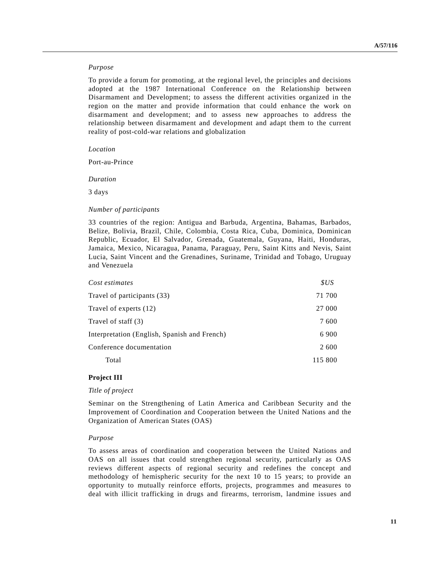#### *Purpose*

To provide a forum for promoting, at the regional level, the principles and decisions adopted at the 1987 International Conference on the Relationship between Disarmament and Development; to assess the different activities organized in the region on the matter and provide information that could enhance the work on disarmament and development; and to assess new approaches to address the relationship between disarmament and development and adapt them to the current reality of post-cold-war relations and globalization

#### *Location*

Port-au-Prince

*Duration*

3 days

#### *Number of participants*

33 countries of the region: Antigua and Barbuda, Argentina, Bahamas, Barbados, Belize, Bolivia, Brazil, Chile, Colombia, Costa Rica, Cuba, Dominica, Dominican Republic, Ecuador, El Salvador, Grenada, Guatemala, Guyana, Haiti, Honduras, Jamaica, Mexico, Nicaragua, Panama, Paraguay, Peru, Saint Kitts and Nevis, Saint Lucia, Saint Vincent and the Grenadines, Suriname, Trinidad and Tobago, Uruguay and Venezuela

| Cost estimates                               | SUS     |
|----------------------------------------------|---------|
| Travel of participants (33)                  | 71 700  |
| Travel of experts (12)                       | 27 000  |
| Travel of staff (3)                          | 7600    |
| Interpretation (English, Spanish and French) | 6 9 0 0 |
| Conference documentation                     | 2 600   |
| Total                                        | 115 800 |

#### **Project III**

#### *Title of project*

Seminar on the Strengthening of Latin America and Caribbean Security and the Improvement of Coordination and Cooperation between the United Nations and the Organization of American States (OAS)

#### *Purpose*

To assess areas of coordination and cooperation between the United Nations and OAS on all issues that could strengthen regional security, particularly as OAS reviews different aspects of regional security and redefines the concept and methodology of hemispheric security for the next 10 to 15 years; to provide an opportunity to mutually reinforce efforts, projects, programmes and measures to deal with illicit trafficking in drugs and firearms, terrorism, landmine issues and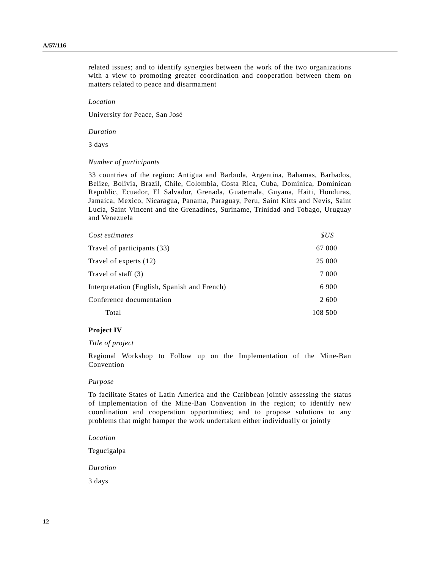related issues; and to identify synergies between the work of the two organizations with a view to promoting greater coordination and cooperation between them on matters related to peace and disarmament

#### *Location*

University for Peace, San José

#### *Duration*

3 days

### *Number of participants*

33 countries of the region: Antigua and Barbuda, Argentina, Bahamas, Barbados, Belize, Bolivia, Brazil, Chile, Colombia, Costa Rica, Cuba, Dominica, Dominican Republic, Ecuador, El Salvador, Grenada, Guatemala, Guyana, Haiti, Honduras, Jamaica, Mexico, Nicaragua, Panama, Paraguay, Peru, Saint Kitts and Nevis, Saint Lucia, Saint Vincent and the Grenadines, Suriname, Trinidad and Tobago, Uruguay and Venezuela

| Cost estimates                               | SUS     |
|----------------------------------------------|---------|
| Travel of participants (33)                  | 67 000  |
| Travel of experts (12)                       | 25 000  |
| Travel of staff (3)                          | 7 0 0 0 |
| Interpretation (English, Spanish and French) | 6 9 0 0 |
| Conference documentation                     |         |
| Total                                        | 108 500 |

#### **Project IV**

#### *Title of project*

Regional Workshop to Follow up on the Implementation of the Mine-Ban Convention

#### *Purpose*

To facilitate States of Latin America and the Caribbean jointly assessing the status of implementation of the Mine-Ban Convention in the region; to identify new coordination and cooperation opportunities; and to propose solutions to any problems that might hamper the work undertaken either individually or jointly

*Location*

Tegucigalpa

*Duration*

3 days